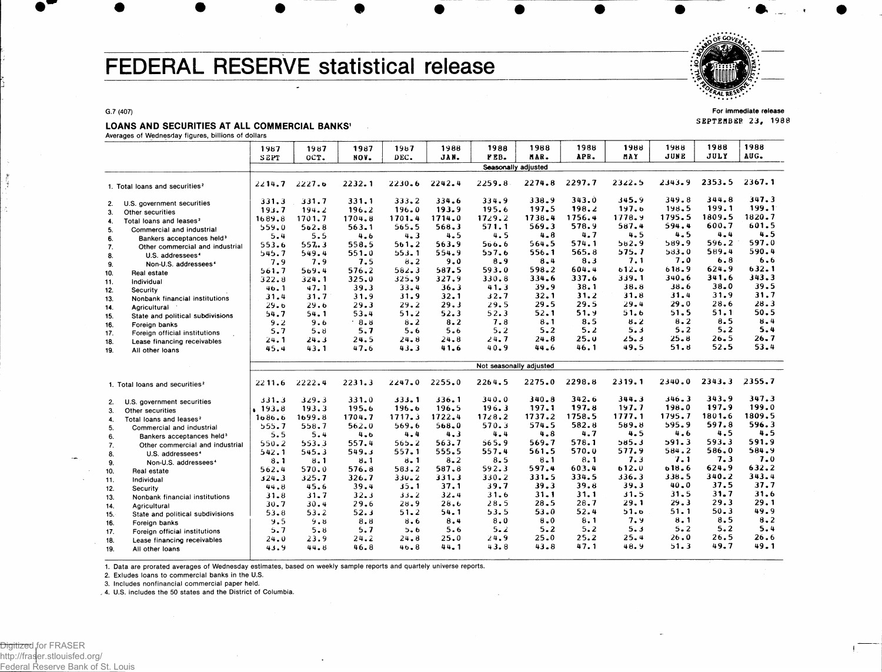# FEDERAL RESERVE statistical release



For immediate release SEPTEMBER 23, 1988

### LOANS AND SECURITIES AT ALL COMMERCIAL BANKS<sup>1</sup>

Averages of Wednesday figures, billions of dollars

G.7 (407)

|     |                                            | 1987        | 1987                    | 1987   | 1987      | 1988    | 1988                | 1988     | 1988       | 1988         | 1988               | 1988           | 1988         |
|-----|--------------------------------------------|-------------|-------------------------|--------|-----------|---------|---------------------|----------|------------|--------------|--------------------|----------------|--------------|
|     |                                            | <b>SEPT</b> | OCT.                    | NOV.   | DEC.      | JAN.    | FEB.                | MAR.     | APR.       | MAY          | JUNE               | JULY           | AUG.         |
|     |                                            |             |                         |        |           |         | Seasonally adjusted |          |            |              |                    |                |              |
|     | 1. Total loans and securities <sup>2</sup> | 2214.7      | 2227.6                  | 2232.1 | 2230.6    | 2242.4  | 2259.8              | 2274.8   | 2297.7     | 2322.5       | 2343.9             | 2353.5         | 2367.1       |
| 2.  | U.S. government securities                 | 331.3       | 331.7                   | 331.1  | 333.2     | 334.6   | 334.9               | 338.9    | 343.0      | 345.9        | 349.8              | 344.8          | 347.3        |
| 3.  | Other securities                           | 193.7       | 194.2                   | 196.2  | 196.0     | 193.9   | 195.6               | 197.5    | 198.2      | 197.6        | 198.5              | 199.1          | 199.1        |
| 4.  | Total loans and leases <sup>2</sup>        | 1689.8      | 1701.7                  | 1704.8 | 1701.4    | 1714.0  | 1729.2              | 1738.4   | 1756.4     | 1778.9       | 1795.5             | 1809.5         | 1820.7       |
| 5.  | Commercial and industrial                  | 559.0       | 562.8                   | 563.1  | 565.5     | 568.3   | 571.1               | 569.3    | 578.9      | 587.4        | 594.4              | 600.7          | 601.5        |
| 6.  | Bankers acceptances held <sup>3</sup>      | 5.4         | 5.5                     | 4.6    | 4.3       | 4.5     | 4.5                 | 4.8      | 4.7        | 4.5          | 4.5                | $4 - 4$        | 4.5<br>597.0 |
| 7.  | Other commercial and industrial            | 553.6       | 557.3                   | 558.5  | 561.2     | 563.9   | 566.6               | 564.5    | 574.1      | 582.9        | 589.9              | 596.2<br>589.4 | 590.4        |
| 8.  | U.S. addressees <sup>4</sup>               | 545.7       | 549.4                   | 551.0  | 553.1     | 554.9   | 557.6               | 556.1    | 565.8      | 575.7        | 583.0<br>7.0       |                | 6.6          |
| 9.  | Non-U.S. addressees <sup>4</sup>           | 7.9         | 7.9                     | 7.5    | 8.2       | 9.0     | 8.9                 | 8.4      | 8.3        | 7.1          |                    | 6.8            | 632.1        |
| 10. | Real estate                                | 561.7       | 569.4                   | 576.2  | 582.3     | 587.5   | 593.0               | 598.2    | 604.4      | 612.6        | 618.9<br>$340 - 6$ | 624.9<br>341.6 | 343.3        |
| 11. | Individual                                 | 322.8       | 324.1                   | 325.0  | 325.9     | 327.9   | 330.8               | 334.6    | 337.6      | 339.1        |                    | 38.0           | 39.5         |
| 12. | Security                                   | 46.1        | 47.1                    | 39.3   | 33.4      | 36.3    | 41.3                | 39.9     | 38.1       | 38.8         | $38 - 6$           |                | 31.7         |
| 13. | Nonbank financial institutions             | 31.4        | 31.7                    | 31.9   | 31.9      | 32.1    | 32.7                | 32.1     | 31.2       | 31.8         | 31.4<br>29.0       | 31.9           | 28.3         |
| 14. | Agricultural                               | 29.6        | 29.6                    | 29.3   | 29.2      | 29.3    | 29.5                | 29.5     | 29.5       | 29.4         |                    | 28.6<br>51.1   | 50.5         |
| 15. | State and political subdivisions           | 54.7        | 54.1                    | 53.4   | 51.2      | 52.3    | 52.3                | 52.1     | 51.9       | 51.6         | 51.5               | 8.5            | $8 - 4$      |
| 16. | Foreign banks                              | 9.2         | 9.6                     | 8.8    | $8 - 2$   | 8.2     | 7.8                 | $8 - 1$  | 8.5<br>5.2 | 8.2<br>5.3   | 8.2<br>5.2         | 5.2            | 5.4          |
| 17. | Foreign official institutions              | 5.7         | 5.8                     | 5.7    | 5.6       | 5.6     | 5.2                 | $5 - 2$  | 25.0       |              | 25.8               | $26 - 5$       | 26.7         |
| 18. | Lease financing receivables                | 24.1        | 24.3                    | 24.5   | $24 - 8$  | 24.8    | 24.7                | 24.8     | 46.1       | 25.3<br>49.5 | 51.8               | 52.5           | 53.4         |
| 19. | All other loans                            | 45.4        | 43.1                    | 47.6   | 43.3      | 41.6    | 40.9                | 44.6     |            |              |                    |                |              |
|     |                                            |             | Not seasonally adjusted |        |           |         |                     |          |            |              |                    |                |              |
|     | 1. Total loans and securities <sup>2</sup> | 2211.6      | 2222.4                  | 2231.3 | 2247.0    | 2255.0  | 2264.5              | 2275.0   | 2298.8     | 2319.1       | 2340.0             | 2343.3         | 2355.7       |
| 2.  | U.S. government securities                 | 331.3       | 329.3                   | 331.0  | 333.1     | 336.1   | 340.0               | 340.8    | 342.6      | 344.3        | 346.3              | 343.9          | 347.3        |
| 3.  | Other securities                           | .193.8      | 193.3                   | 195.6  | 196.6     | 196.5   | 196.3               | 197.1    | 197.8      | 197.7        | 198.0              | 197.9          | 199.0        |
| 4.  | Total loans and leases <sup>2</sup>        | 1086.6      | 1699.8                  | 1704.7 | 1717.3    | 1722.4  | 1728.2              | 1737.2   | 1758.5     | 1777.1       | 1795.7             | 1801.6         | 1809.5       |
| 5.  | Commercial and industrial                  | 555.7       | 558.7                   | 562.0  | 569.6     | 568.0   | 570.3               | 574.5    | 582.8      | 589.8        | 595.9              | 597.8          | 596.3        |
| 6.  | Bankers acceptances held <sup>3</sup>      | 5.5         | 5.4                     | 4.6    | 4.4       | 4.3     | 4.4                 | 4.8      | 4.7        | 4.5          | 4.6                | 4.5            | 4.5          |
| 7.  | Other commercial and industrial            | 550.2       | 553.3                   | 557.4  | $565 - 2$ | 563.7   | 565.9               | 569.7    | 578.1      | 385.3        | 591.3              | 593.3          | 591.9        |
| 8.  | U.S. addressees <sup>4</sup>               | 542.1       | 545.3                   | 549.3  | 557.1     | 555.5   | 557.4               | 561.5    | 570.0      | 577.9        | 584.2              | 586.0          | 584.9        |
| 9.  | Non-U.S. addressees <sup>4</sup>           | 8.1         | 8.1                     | 8.1    | 8.1       | $8 - 2$ | 8.5                 | 8.1      | 8.1        | 7.3          | 7.1                | 7.3            | $7 - 0$      |
| 10. | Real estate                                | 562.4       | 570.0                   | 576.8  | 583.2     | 587.8   | 592.3               | 597.4    | 603.4      | 612.0        | 618.6              | 624.9          | 632.2        |
| 11. | Individual                                 | 324.3       | 325.7                   | 326.7  | $330 - 2$ | 331.3   | 330.2               | 331.5    | 334.5      | 336.3        | 338.5              | 340.2          | 343.4        |
| 12. | Security                                   | 44.8        | 45.6                    | 39.4   | 35.1      | 37.1    | 39.7                | 39.3     | 39.8       | 39.3         | 40.0               | 37.5           | 37.7         |
| 13. | Nonbank financial institutions             | 31.8        | $31 - 7$                | 32.3   | $33 - 2$  | 32.4    | 31.6                | $31 - 1$ | 31.1       | 31.5         | 31.5               | $31 - 7$       | 31.6         |
| 14. | Agricultural                               | 30.7        | 30.4                    | 29.6   | 28.9      | 28.6    | 28.5                | 28.5     | 28.7       | 29.1         | 29.3               | 29.3           | 29.1         |
| 15. | State and political subdivisions           | 53.8        | 53.2                    | 52.3   | 51.2      | 54.1    | 53.5                | 53.0     | 52.4       | 51.0         | 51.1               | $50 - 3$       | 49.9         |
| 16. | Foreign banks                              | 9.5         | 9.8                     | 8.8    | 8.6       | 8.4     | 8.0                 | 8.0      | 8,1        | 7.9          | 8.1                | 8.5            | 8.2          |
| 17. | Foreign official institutions              | 5.7         | $5 - 8$                 | 5.7    | 5.6       | 5.6     | 5.2                 | 5.2      | 5.2        | 5.3          | $5 - 2$            | 5.2            | 5.4          |
| 18. | Lease financing receivables                | 24.0        | 23.9                    | 24.2   | 24.8      | 25.0    | 24.9                | 25.0     | 25.2       | 25.4         | 26.0               | 26.5           | 26.6         |
| 19. | All other loans                            | 43.9        | 44.8                    | 46.8   | 46.8      | 44.1    | 43.8                | 43.8     | 47.1       | 48.9         | 51.3               | 49.7           | 49.1         |

1. Data are prorated averages of Wednesday estimates, based on weekly sample reports and quartely universe reports.

2. Exludes loans to commercial banks in the U.S.

3. Includes nonfinancial commercial paper held.

, 4. U.S. includes the 50 states and the District of Columbia.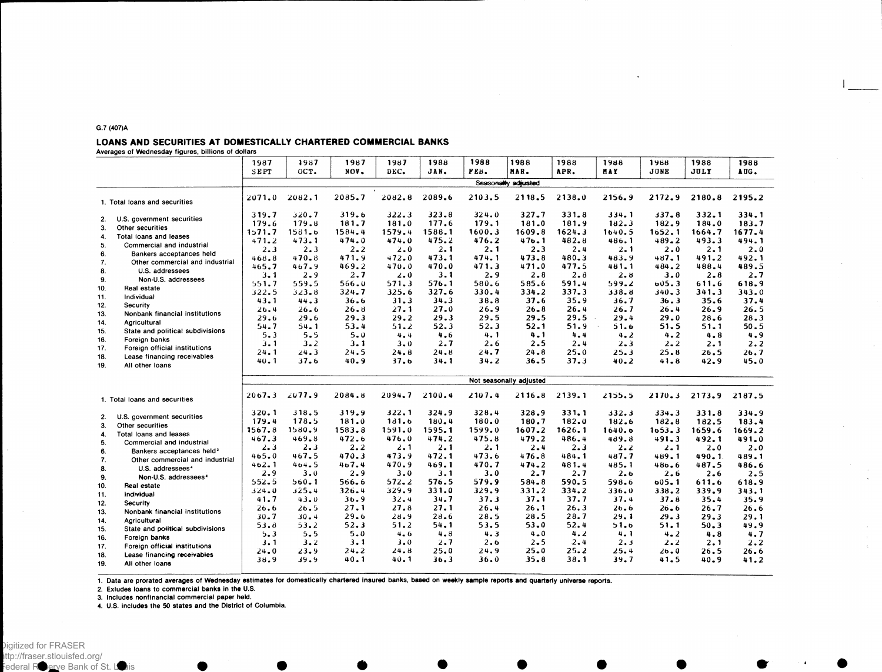#### G.7 (407)A

#### LOANS AND SECURITIES AT DOMESTICALLY CHARTERED COMMERCIAL BANKS

Averages of Wednesday figures, billions of dollars

|     |                                       | 1987       | 1987                    | 1987     | 1987    | 1988     | 1988   | 1988                | 1988   | 1988     | 1988      | 1988     | 1988   |
|-----|---------------------------------------|------------|-------------------------|----------|---------|----------|--------|---------------------|--------|----------|-----------|----------|--------|
|     |                                       | SEPT       | OCT.                    | NOV.     | DEC.    | JAN.     | FEB.   | MAR.                | APR.   | HAY.     | JUNE      | JULY     | AUG.   |
|     |                                       |            |                         |          |         |          |        | Seasonally adjusted |        |          |           |          |        |
|     | 1. Total loans and securities         | 2071.0     | 2082.1                  | 2085.7   | 2082.8  | 2089.6   | 2103.5 | 2118.5              | 2138.0 | 2156.9   | 2172.9    | 2180.8   | 2195.2 |
| 2.  | U.S. government securities            | 319.7      | 320.7                   | 319.6    | 322.3   | 323.8    | 324.0  | 327.7               | 331.8  | 334.1    | 337.8     | 332.1    | 334.1  |
| 3.  | Other securities                      | 179.6      | 179.8                   | 181.7    | 181.0   | 177.6    | 179.1  | 181.0               | 181.9  | 182.3    | 182.9     | 184.0    | 183.7  |
| 4.  | Total loans and leases                | 1, 71, 7   | 1581.6                  | 1584.4   | 1579.4  | 1588.1   | 1600.3 | 1609.8              | 1624.3 | 1640.5   | 1652.1    | 1664.7   | 1677.4 |
| 5.  | Commercial and industrial             | 471.2      | 473.1                   | 474.0    | 474.0   | 475.2    | 476.2  | 476.1               | 482.8  | 486.1    | 489.2     | 493.3    | 494.1  |
| 6.  | Bankers acceptances held              | $2 - 3$    | 2.3                     | 2.2      | 2.0     | 2.1      | 2.1    | 2.3                 | 2.4    | 2.1      | 2.0       | 2.1      | 2.0    |
| 7.  | Other commercial and industrial       | 468.8      | 470.8                   | 471.9    | 472.0   | 473.1    | 474.1  | 473.8               | 480.3  | 483.9    | 487.1     | 491.2    | 492.1  |
| 8.  | U.S. addressees                       | 465.7      | 467.9                   | 469.2    | 470.0   | 470.0    | 471.3  | 471.0               | 477.5  | 481.1    | 484.2     | 488.4    | 489.5  |
| 9.  | Non-U.S. addressees                   | $3 - 1$    | 2.9                     | 2.7      | $2 - 0$ | 3.1      | 2.9    | 2.8                 | 2.8    | $2 - 8$  | 3.0       | $2 - 8$  | 2.7    |
| 10. | <b>Real estate</b>                    | 551.7      | 559.5                   | 566.0    | 571.3   | 576.1    | 580.6  | 585.6               | 591.4  | 599.2    | 605.3     | 611.6    | 618.9  |
| 11. | Individual                            | 322.5      | 323.8                   | 324.7    | 325.6   | 327.6    | 330.4  | 334.2               | 337.3  | 338.8    | $340 - 3$ | 341.3    | 343.0  |
| 12. | Security                              | 43.1       | 44.3                    | 36.6     | 31.3    | 34.3     | 38.8   | 37.6                | 35.9   | 36.7     | 36.3      | 35.6     | 37.4   |
| 13. | Nonbank financial institutions        | 26.4       | 26.6                    | 26.8     | 27.1    | 27.0     | 26.9   | $26 - 8$            | 26.4   | 26.7     | 26.4      | 26.9     | 26.5   |
| 14. | Agricultural                          | 29.6       | 29.6                    | 29.3     | 29.2    | 29.3     | 29.5   | 29.5                | 29.5   | 29.4     | 29.0      | $28 - 6$ | 28.3   |
| 15. | State and political subdivisions      | 54.7       | 54.1                    | 53.4     | 51.2    | 52.3     | 52.3   | $52 - 1$            | 51.9   | 51.6     | 51.5      | 51.1     | 50.5   |
| 16. | Foreign banks                         | 5.3        | 5.5                     | 5.0      | 4.4     | 4.6      | 4.1    | 4.1                 | 4.4    | 4.2      | 4.2       | 4.8      | 4.9    |
| 17. | Foreign official institutions         | 3.1        | $3 - 2$                 | 3.1      | 3.0     | 2.7      | 2.6    | 2.5                 | 2.4    | $2 - 3$  | $2 - 2$   | 2.1      | 2.2    |
| 18. | Lease financing receivables           | 24.1       | 24.3                    | 24.5     | 24.8    | 24.8     | 24.7   | $24 - 8$            | 25.0   | 25.3     | 25.8      | 26.5     | 26.7   |
| 19. | All other loans                       | 40.1       | 37.6                    | 40.9     | 37.6    | 34.1     | 34.2   | 36.5                | 37.3   | $40 - 2$ | 41.8      | 42.9     | 45.0   |
|     |                                       |            | Not seasonally adjusted |          |         |          |        |                     |        |          |           |          |        |
|     | 1. Total loans and securities         | $2067 - 3$ | 2077.9                  | 2084.8   | 2094.7  | 2100.4   | 2107.4 | 2116.8              | 2139.1 | 2155.5   | 2170.3    | 2173.9   | 2187.5 |
|     |                                       |            |                         |          |         |          |        |                     |        |          |           |          |        |
| 2.  | U.S. government securities            | 320.1      | 318.5                   | 319.9    | 322.1   | 324.9    | 328.4  | 328.9               | 331.1  | 332.3    | 334.3     | 331.8    | 334.9  |
| 3.  | Other securities                      | 179.4      | 178.5                   | 181.0    | 181.6   | 180.4    | 180.0  | 180.7               | 182.0  | 182.6    | 182.8     | 182.5    | 183.4  |
| 4.  | Total loans and leases                | 1567.8     | 1580.9                  | 1583.8   | 1591.0  | 1595.1   | 1599.0 | 1607.2              | 1626.1 | 1640.6   | 1653.3    | 1659.6   | 1669.2 |
| 5.  | Commercial and industrial             | 467.3      | 469.8                   | 472.6    | 476.0   | 474.2    | 475.8  | 479.2               | 486.4  | 489.8    | 491.3     | 492.1    | 491.0  |
| 6.  | Bankers acceptances held <sup>3</sup> | $2 - 3$    | 2.3                     | 2.2      | 2.1     | 2.1      | 2.1    | $2 - 4$             | 2.3    | $2 - 2$  | 2.1       | $2 - 0$  | 2.0    |
| 7.  | Other commercial and industrial       | 465.0      | 467.5                   | 470.3    | 473.9   | 472.1    | 473.6  | 476.8               | 484.1  | 487.7    | 489.1     | 490.1    | 489.1  |
| 8.  | U.S. addressees <sup>4</sup>          | 402.1      | 404.5                   | 467.4    | 470.9   | 469.1    | 470.7  | 474.2               | 481.4  | 485.1    | 486.6     | 487.5    | 486.6  |
| 9.  | Non-U.S. addressees <sup>4</sup>      | 2.9        | 3.0                     | 2.9      | 3.0     | 3.1      | 3.0    | 2.7                 | 2.7    | 2.6      | 2.6       | 2.6      | 2.5    |
| 10. | Real estate                           | 552.5      | 560.1                   | 566.6    | 572.2   | 576.5    | 579.9  | 584.8               | 590.5  | 598.6    | 605.1     | 611.6    | 618.9  |
| 11. | Individual                            | 324.0      | 325.4                   | 326.4    | 329.9   | 331.0    | 329.9  | 331.2               | 334.2  | 336.0    | 338.2     | 339.9    | 343.1  |
| 12. | Security                              | 41.7       | 43.0                    | 36.9     | 32.4    | 34.7     | 37.3   | 37.1                | 37.7   | 37.4     | 37.8      | 35.4     | 35.9   |
| 13. | Nonbank financial institutions        | 26.6       | 26.5                    | 27.1     | 27.8    | 27.1     | 26.4   | 26.1                | 26.3   | $26 - 6$ | 26.6      | 26.7     | 26.6   |
| 14. | Agricultural                          | $30 - 7$   | 30.4                    | 29.6     | 28.9    | $28 - 6$ | 28.5   | 28.5                | 28.7   | 29.1     | 29.3      | 29.3     | 29.1   |
| 15. | State and political subdivisions      | 53.8       | 53.2                    | 52.3     | 51.2    | 54.1     | 53.5   | 53.0                | 52.4   | 51.6     | 51.1      | 50.3     | 49.9   |
| 16. | Foreign banks                         | 5.3        | 5.5                     | 5.0      | 4.6     | 4.8      | 4.3    | $4 - 0$             | 4.2    | 4.1      | 4.2       | 4.8      | 4.7    |
| 17. | Foreign official institutions         | 3.1        | 3.2                     | 3.1      | 3.0     | 2.7      | 2.6    | $2 - 5$             | 2.4    | 2.3      | 2.2       | 2.1      | 2.2    |
| 18. | Lease financing receivables           | $24 - 0$   | 23.9                    | $24 - 2$ | 24.8    | 25.0     | 24.9   | $25 - 0$            | 25.2   | 25.4     | 26.0      | 26.5     | 26.6   |
| 19. | All other loans                       | 38.9       | 39.9                    | 40.1     | 40.1    | 36.3     | 36.0   | 35.8                | 38.1   | 39.7     | 41.5      | 40.9     | 41.2   |

1. Data are prorated averages of Wednesday estimates for domestically chartered insured banks, based on weekly sample reports and quarterly universe reports.

2. Exludes loans to commercial banks in the U.S.

3. Includes nonfinancial commercial paper held.

4. U.S. includes the 50 states and the District of Columbia.